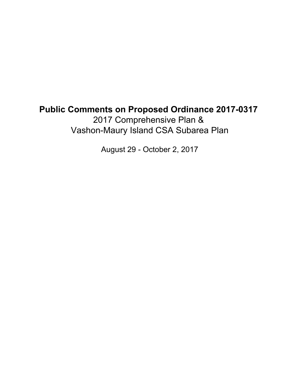## **Public Comments on Proposed Ordinance 2017-0317** 2017 Comprehensive Plan & Vashon-Maury Island CSA Subarea Plan

August 29 - October 2, 2017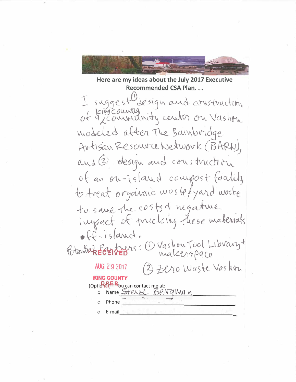

Here are my ideas about the July 2017 Executive **Recommended CSA Plan...** 

I suggest design and construction of Eingcounty with center on Vashon modeled after The Bainbordge Artisan Resource Network (BARN), and 2 design and construction of an ou-island compost faulity to treat organic was les yard waste to save the costs of negative impact of micking these materials  $ef-island.$ Potentiak EGENTED 15: C Vashou Tool Library+ (2) Zero Waste Vashon AUG 29 2017 **KING COUNTY** (Optional) - Pou can contact me at: Name Stelle BeNqMan Phone E-mail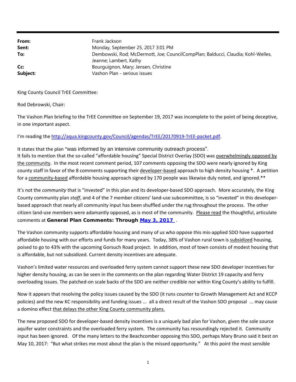**From: Sent: To: Cc: Subject:** Frank Jackson Monday, September 25, 2017 3:01 PM Dembowski, Rod; McDermott, Joe; CouncilCompPlan; Balducci, Claudia; Kohl-Welles, Jeanne; Lambert, Kathy Bourguignon, Mary; Jensen, Christine Vashon Plan - serious issues

King County Council TrEE Committee:

Rod Debrowski, Chair:

The Vashon Plan briefing to the TrEE Committee on September 19, 2017 was incomplete to the point of being deceptive, in one important aspect.

I'm reading the http://aqua.kingcounty.gov/Council/agendas/TrEE/20170919‐TrEE‐packet.pdf.

It states that the plan "was informed by an intensive community outreach process". It fails to mention that the so‐called "affordable housing" Special District Overlay (SDO) was overwhelmingly opposed by the community. In the most recent comment period, 107 comments opposing the SDO were nearly ignored by King county staff in favor of the 8 comments supporting their developer‐based approach to high density housing \*. A petition for a community-based affordable housing approach signed by 170 people was likewise duly noted, and ignored.\*\*

It's not the *community* that is "invested" in this plan and its developer-based SDO approach. More accurately, the King County community plan *staff*, and 4 of the 7 member citizens' land‐use subcommittee, is so "invested" in this developer‐ based approach that nearly all community input has been shuffled under the rug throughout the process. The other citizen land‐use members were adamantly opposed, as is most of the community. Please read the thoughtful, articulate comments at **General Plan Comments: Through May 3, 2017** .

The Vashon community supports affordable housing and many of us who oppose this mis‐applied SDO have supported affordable housing with our efforts and funds for many years. Today, 38% of Vashon rural town is subsidized housing, poised to go to 43% with the upcoming Gorsuch Road project. In addition, most of town consists of modest housing that is affordable, but not subsidized. Current density incentives are adequate.

Vashon's limited water resources and overloaded ferry system cannot support these new SDO developer incentives for higher density housing, as can be seen in the comments on the plan regarding Water District 19 capacity and ferry overloading issues. The patched‐on scale backs of the SDO are neither credible nor within King County's ability to fulfill.

Now it appears that resolving the policy issues caused by the SDO (it runs counter to Growth Management Act and KCCP policies) and the new KC responsibility and funding issues ... all a direct result of the Vashon SDO proposal ... may cause a domino effect that delays the other King County community plans.

The new proposed SDO for developer‐based density incentives is a uniquely bad plan for Vashon, given the sole source aquifer water constraints and the overloaded ferry system. The community has resoundingly rejected it. Community input has been ignored. Of the many letters to the Beachcomber opposing this SDO, perhaps Mary Bruno said it best on May 10, 2017: "But what strikes me most about the plan is the missed opportunity." At this point the most sensible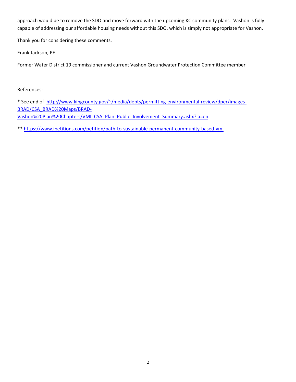approach would be to remove the SDO and move forward with the upcoming KC community plans. Vashon is fully capable of addressing our affordable housing needs without this SDO, which is simply not appropriate for Vashon.

Thank you for considering these comments.

Frank Jackson, PE

Former Water District 19 commissioner and current Vashon Groundwater Protection Committee member

References:

\* See end of http://www.kingcounty.gov/~/media/depts/permitting-environmental-review/dper/images-BRAD/CSA\_BRAD%20Maps/BRAD‐ Vashon%20Plan%20Chapters/VMI\_CSA\_Plan\_Public\_Involvement\_Summary.ashx?la=en

\*\* https://www.ipetitions.com/petition/path‐to‐sustainable‐permanent‐community‐based‐vmi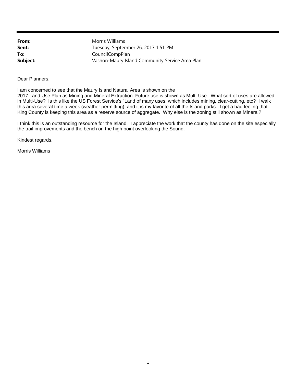**From: Sent: To: Subject:** Morris Williams Tuesday, September 26, 2017 1:51 PM CouncilCompPlan Vashon-Maury Island Community Service Area Plan

Dear Planners,

I am concerned to see that the Maury Island Natural Area is shown on the 2017 Land Use Plan as Mining and Mineral Extraction. Future use is shown as Multi-Use. What sort of uses are allowed in Multi-Use? Is this like the US Forest Service's "Land of many uses, which includes mining, clear-cutting, etc? I walk this area several time a week (weather permitting), and it is my favorite of all the Island parks. I get a bad feeling that King County is keeping this area as a reserve source of aggregate. Why else is the zoning still shown as Mineral?

I think this is an outstanding resource for the Island. I appreciate the work that the county has done on the site especially the trail improvements and the bench on the high point overlooking the Sound.

Kindest regards,

Morris Williams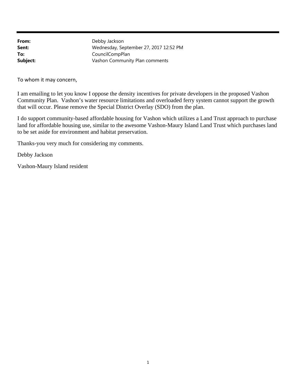**From: Sent: To: Subject:** Debby Jackson Wednesday, September 27, 2017 12:52 PM CouncilCompPlan Vashon Community Plan comments

To whom it may concern,

I am emailing to let you know I oppose the density incentives for private developers in the proposed Vashon Community Plan. Vashon's water resource limitations and overloaded ferry system cannot support the growth that will occur. Please remove the Special District Overlay (SDO) from the plan.

I do support community-based affordable housing for Vashon which utilizes a Land Trust approach to purchase land for affordable housing use, similar to the awesome Vashon-Maury Island Land Trust which purchases land to be set aside for environment and habitat preservation.

Thanks-you very much for considering my comments.

Debby Jackson

Vashon-Maury Island resident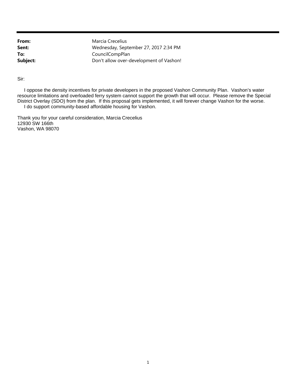Marcia Crecelius Wednesday, September 27, 2017 2:34 PM CouncilCompPlan Don't allow over-development of Vashon!

Sir:

 I oppose the density incentives for private developers in the proposed Vashon Community Plan. Vashon's water resource limitations and overloaded ferry system cannot support the growth that will occur. Please remove the Special District Overlay (SDO) from the plan. If this proposal gets implemented, it will forever change Vashon for the worse. I do support community-based affordable housing for Vashon.

Thank you for your careful consideration, Marcia Crecelius 12930 SW 166th Vashon, WA 98070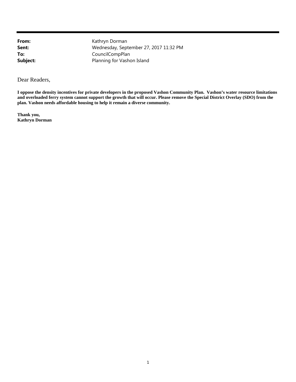Kathryn Dorman Wednesday, September 27, 2017 11:32 PM CouncilCompPlan Planning for Vashon Island

Dear Readers,

**I oppose the density incentives for private developers in the proposed Vashon Community Plan. Vashon's water resource limitations and overloaded ferry system cannot support the growth that will occur. Please remove the Special District Overlay (SDO) from the plan. Vashon needs affordable housing to help it remain a diverse community.**

**Thank you, Kathryn Dorman**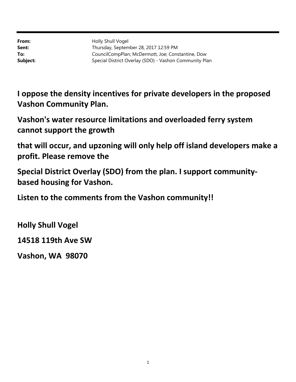Holly Shull Vogel Thursday, September 28, 2017 12:59 PM CouncilCompPlan; McDermott, Joe; Constantine, Dow Special District Overlay (SDO) - Vashon Community Plan

**I oppose the density incentives for private developers in the proposed Vashon Community Plan.**

**Vashon's water resource limitations and overloaded ferry system cannot support the growth**

**that will occur, and upzoning will only help off island developers make a profit. Please remove the**

**Special District Overlay (SDO) from the plan. I support community‐ based housing for Vashon.**

**Listen to the comments from the Vashon community!!**

**Holly Shull Vogel**

**14518 119th Ave SW**

**Vashon, WA 98070**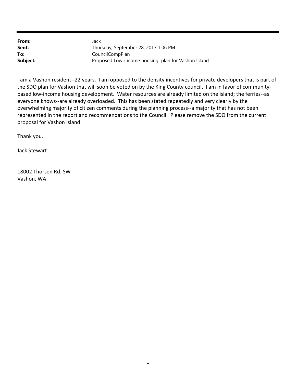| From:    | Jack                                                |
|----------|-----------------------------------------------------|
| Sent:    | Thursday, September 28, 2017 1:06 PM                |
| To:      | CouncilCompPlan                                     |
| Subject: | Proposed Low-income housing plan for Vashon Island. |

I am a Vashon resident‐‐22 years. I am opposed to the density incentives for private developers that is part of the SDO plan for Vashon that will soon be voted on by the King County council. I am in favor of communitybased low-income housing development. Water resources are already limited on the island; the ferries--as everyone knows--are already overloaded. This has been stated repeatedly and very clearly by the overwhelming majority of citizen comments during the planning process--a majority that has not been represented in the report and recommendations to the Council. Please remove the SDO from the current proposal for Vashon Island.

Thank you.

Jack Stewart

18002 Thorsen Rd. SW Vashon, WA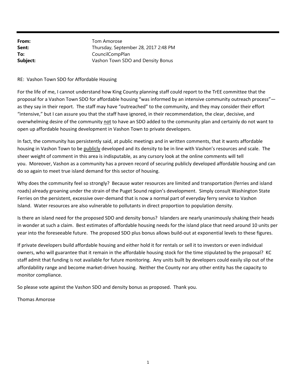| From:    | Tom Amorose                          |
|----------|--------------------------------------|
| Sent:    | Thursday, September 28, 2017 2:48 PM |
| To:      | CouncilCompPlan                      |
| Subject: | Vashon Town SDO and Density Bonus    |

## RE: Vashon Town SDO for Affordable Housing

For the life of me, I cannot understand how King County planning staff could report to the TrEE committee that the proposal for a Vashon Town SDO for affordable housing "was informed by an intensive community outreach process" as they say in their report. The staff may have "outreached" to the community, and they may consider their effort "intensive," but I can assure you that the staff have ignored, in their recommendation, the clear, decisive, and overwhelming desire of the community not to have an SDO added to the community plan and certainly do not want to open up affordable housing development in Vashon Town to private developers.

In fact, the community has persistently said, at public meetings and in written comments, that it wants affordable housing in Vashon Town to be publicly developed and its density to be in line with Vashon's resources and scale. The sheer weight of comment in this area is indisputable, as any cursory look at the online comments will tell you. Moreover, Vashon as a community has a proven record of securing publicly developed affordable housing and can do so again to meet true island demand for this sector of housing.

Why does the community feel so strongly? Because water resources are limited and transportation (ferries and island roads) already groaning under the strain of the Puget Sound region's development. Simply consult Washington State Ferries on the persistent, excessive over‐demand that is now a normal part of everyday ferry service to Vashon Island. Water resources are also vulnerable to pollutants in direct proportion to population density.

Is there an island need for the proposed SDO and density bonus? Islanders are nearly unanimously shaking their heads in wonder at such a claim. Best estimates of affordable housing needs for the island place that need around 10 units per year into the foreseeable future. The proposed SDO plus bonus allows build‐out at exponential levels to these figures.

If private developers build affordable housing and either hold it for rentals or sell it to investors or even individual owners, who will guarantee that it remain in the affordable housing stock for the time stipulated by the proposal? KC staff admit that funding is not available for future monitoring. Any units built by developers could easily slip out of the affordability range and become market-driven housing. Neither the County nor any other entity has the capacity to monitor compliance.

So please vote against the Vashon SDO and density bonus as proposed. Thank you.

Thomas Amorose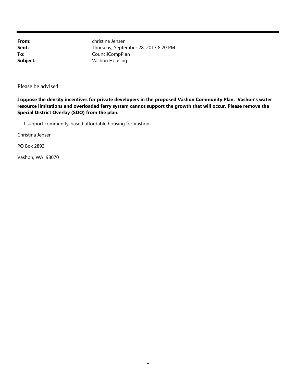christina Jensen Thursday, September 28, 2017 8:20 PM CouncilCompPlan Vashon Housing

Please be advised:

**I oppose the density incentives for private developers in the proposed Vashon Community Plan. Vashon's water resource limitations and overloaded ferry system cannot support the growth that will occur. Please remove the Special District Overlay (SDO) from the plan.**

I support community-based affordable housing for Vashon.

Christina Jensen

PO Box 2893

Vashon, WA 98070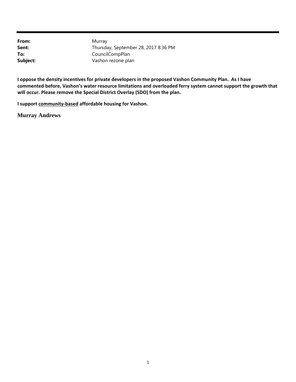Murray Thursday, September 28, 2017 8:36 PM CouncilCompPlan Vashon rezone plan

I oppose the density incentives for private developers in the proposed Vashon Community Plan. As I have **commented before, Vashon's water resource limitations and overloaded ferry system cannot support the growth that will occur. Please remove the Special District Overlay (SDO) from the plan.**

**I support community‐based affordable housing for Vashon.**

**Murray Andrews**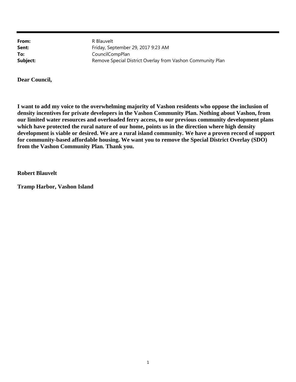R Blauvelt Friday, September 29, 2017 9:23 AM CouncilCompPlan Remove Special District Overlay from Vashon Community Plan

**Dear Council,**

**I want to add my voice to the overwhelming majority of Vashon residents who oppose the inclusion of density incentives for private developers in the Vashon Community Plan. Nothing about Vashon, from our limited water resources and overloaded ferry access, to our previous community development plans which have protected the rural nature of our home, points us in the direction where high density development is viable or desired. We are a rural island community. We have a proven record of support for community-based affordable housing. We want you to remove the Special District Overlay (SDO) from the Vashon Community Plan. Thank you.**

**Robert Blauvelt**

**Tramp Harbor, Vashon Island**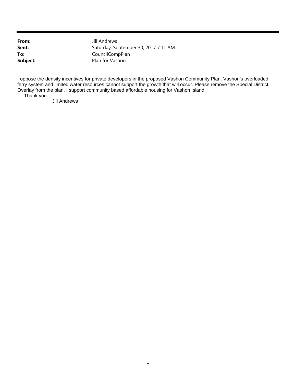Jill Andrews Saturday, September 30, 2017 7:11 AM CouncilCompPlan Plan for Vashon

I oppose the density incentives for private developers in the proposed Vashon Community Plan. Vashon's overloaded ferry system and limited water resources cannot support the growth that will occur. Please remove the Special District Overlay from the plan. I support community based affordable housing for Vashon Island.

Thank you.

Jill Andrews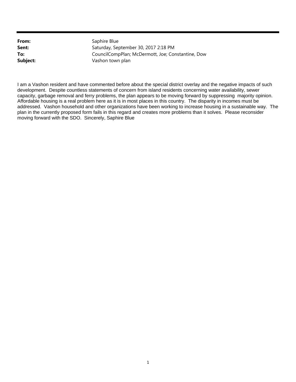Saphire Blue Saturday, September 30, 2017 2:18 PM CouncilCompPlan; McDermott, Joe; Constantine, Dow Vashon town plan

I am a Vashon resident and have commented before about the special district overlay and the negative impacts of such development. Despite countless statements of concern from island residents concerning water availability, sewer capacity, garbage removal and ferry problems, the plan appears to be moving forward by suppressing majority opinion. Affordable housing is a real problem here as it is in most places in this country. The disparity in incomes must be addressed. Vashon household and other organizations have been working to increase housing in a sustainable way. The plan in the currently proposed form fails in this regard and creates more problems than it solves. Please reconsider moving forward with the SDO. Sincerely, Saphire Blue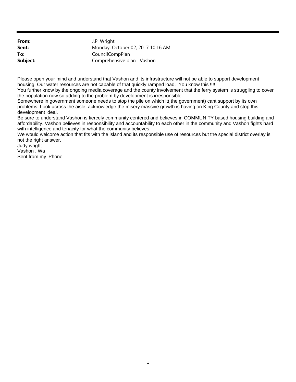**From: Sent: To: Subject:** J.P. Wright Monday, October 02, 2017 10:16 AM CouncilCompPlan Comprehensive plan Vashon

Please open your mind and understand that Vashon and its infrastructure will not be able to support development housing. Our water resources are not capable of that quickly ramped load. You know this !!!!

You further know by the ongoing media coverage and the county involvement that the ferry system is struggling to cover the population now so adding to the problem by development is irresponsible.

Somewhere in government someone needs to stop the pile on which it( the government) cant support by its own problems. Look across the aisle, acknowledge the misery massive growth is having on King County and stop this development ideal.

Be sure to understand Vashon is fiercely community centered and believes in COMMUNITY based housing building and affordability. Vashon believes in responsibility and accountability to each other in the community and Vashon fights hard with intelligence and tenacity for what the community believes.

We would welcome action that fits with the island and its responsible use of resources but the special district overlay is not the right answer.

Judy wright Vashon , Wa Sent from my iPhone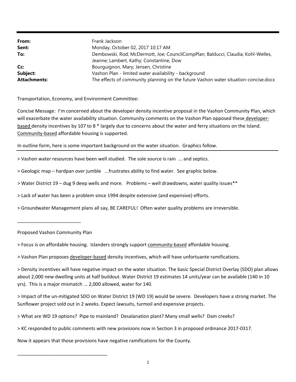| From:               | Frank Jackson                                                                       |
|---------------------|-------------------------------------------------------------------------------------|
| Sent:               | Monday, October 02, 2017 10:17 AM                                                   |
| To:                 | Dembowski, Rod; McDermott, Joe; CouncilCompPlan; Balducci, Claudia; Kohl-Welles,    |
|                     | Jeanne; Lambert, Kathy; Constantine, Dow                                            |
| Cc:                 | Bourguignon, Mary; Jensen, Christine                                                |
| Subject:            | Vashon Plan - limited water availability - background                               |
| <b>Attachments:</b> | The effects of community planning on the future Vashon water situation-concise.docx |

Transportation, Economy, and Environment Committee:

Concise Message: I'm concerned about the developer density incentive proposal in the Vashon Community Plan, which will exacerbate the water availability situation. Community comments on the Vashon Plan opposed these developer‐ based density incentives by 107 to 8 \* largely due to concerns about the water and ferry situations on the Island. Community‐based affordable housing is supported.

In outline form, here is some important background on the water situation. Graphics follow.

- > Vashon water resources have been well studied. The sole source is rain ... and septics.
- > Geologic map hardpan over jumble ...frustrates ability to find water. See graphic below.
- > Water District 19 dug 9 deep wells and more. Problems well drawdowns, water quality issues\*\*
- > Lack of water has been a problem since 1994 despite extensive (and expensive) efforts.
- > Groundwater Management plans all say, BE CAREFUL! Often water quality problems are irreversible.

Proposed Vashon Community Plan

\_\_\_\_\_\_\_\_\_\_\_\_\_\_\_\_\_\_\_\_\_\_\_\_\_\_\_\_\_\_\_\_\_\_

\_\_\_\_\_\_\_\_\_\_\_\_\_\_\_\_\_\_\_\_\_\_\_\_

> Focus is on affordable housing. Islanders strongly support community‐based affordable housing.

> Vashon Plan proposes developer‐based density incentives, which will have unfortuante ramifications.

> Density incentives will have negative impact on the water situation. The basic Special District Overlay (SDO) plan allows about 2,000 new dwelling units at half buildout. Water District 19 estimates 14 units/year can be available (140 in 10 yrs). This is a major mismatch ... 2,000 allowed, water for 140.

> Impact of the un‐mitigated SDO on Water District 19 (WD 19) would be severe. Developers have a strong market. The Sunflower project sold out in 2 weeks. Expect lawsuits, turmoil and expensive projects.

> What are WD 19 options? Pipe to mainland? Desalanation plant? Many small wells? Dam creeks?

> KC responded to public comments with new provisions now in Section 3 in proposed ordinance 2017‐0317.

Now it appears that those provisions have negative ramifications for the County.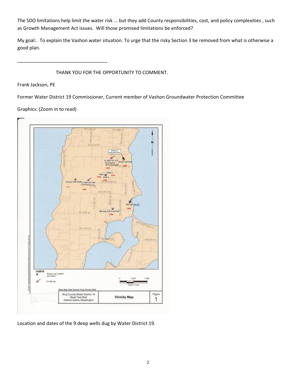The SDO limitations help limit the water risk ... but they add County responsibilities, cost, and policy complexities , such as Growth Management Act issues. Will those promised limitations be enforced?

My goal:. To explain the Vashon water situation. To urge that the risky Section 3 be removed from what is otherwise a good plan.

THANK YOU FOR THE OPPORTUNITY TO COMMENT.

Frank Jackson, PE

Former Water District 19 Commissioner, Current member of Vashon Groundwater Protection Committee

Graphics: (Zoom in to read)

\_\_\_\_\_\_\_\_\_\_\_\_\_\_\_\_\_\_\_\_\_\_\_\_\_\_\_\_\_\_\_\_\_\_



Location and dates of the 9 deep wells dug by Water District 19.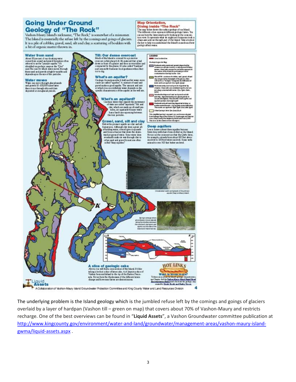## **Going Under Ground Geology of "The Rock"**<br>Vashon-Maury Islands nickname, "The Rock," is somewhat of a misnomer.

The Island is essentially the refuse left by the comings and goings of glaciers. It is a pile of cobbles, gravel, sand, silt and clay; a scattering of boulders with a bit of organic matter thrown in.



The underlying problem is the Island geology which is the jumbled refuse left by the comings and goings of glaciers overlaid by a layer of hardpan (Vashon till – green on map) that covers about 70% of Vashon‐Maury and restricts recharge. One of the best overviews can be found in "**Liquid Assets**", a Vashon Groundwater committee publication at http://www.kingcounty.gov/environment/water-and-land/groundwater/management-areas/vashon-maury-islandgwma/liquid‐assets.aspx .

**Map Orientation,** 

exclore affects water.

Diving inside "The Rock"<br>The asp has shown the subception of our hind.<br>The different cdon represent different geologic laws. You

can see how the knows stock up by looking at the cross section were. It represents what we might see if someone took a<br>chure we and out through part of the Island. Take a look at

the key to help you understand the hiandy in nucleand how